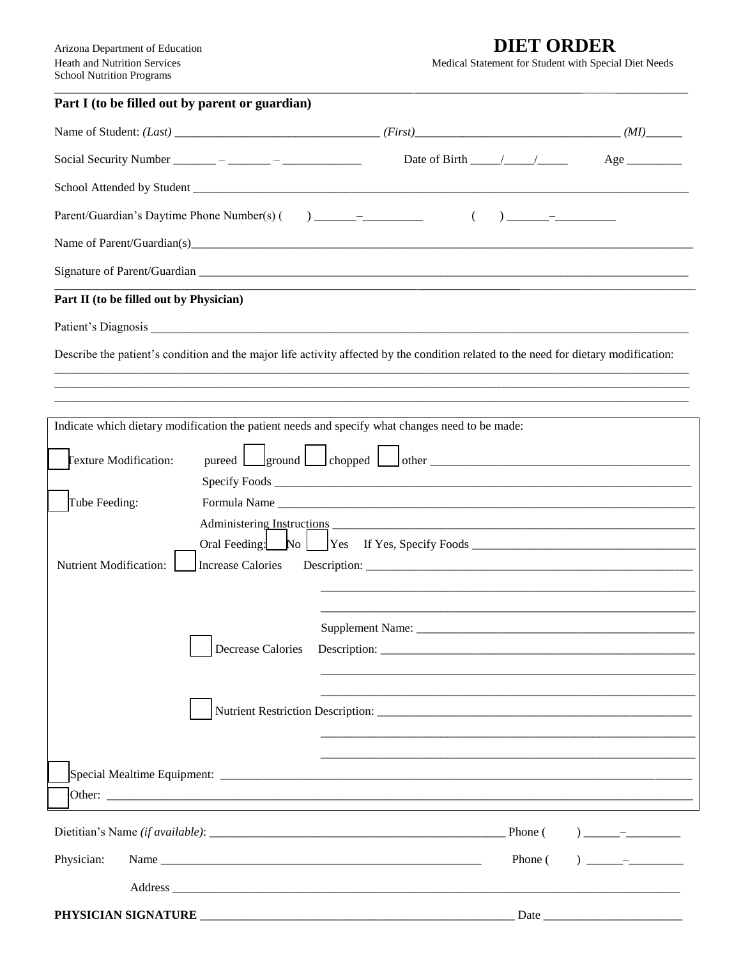## **DIET ORDER**

Medical Statement for Student with Special Diet Needs

| Part I (to be filled out by parent or guardian)                                                                                      |                                    |                                                                                                                                                                                                                                                                                                                                                  |
|--------------------------------------------------------------------------------------------------------------------------------------|------------------------------------|--------------------------------------------------------------------------------------------------------------------------------------------------------------------------------------------------------------------------------------------------------------------------------------------------------------------------------------------------|
|                                                                                                                                      |                                    | $(MI)$ <sub>_______</sub>                                                                                                                                                                                                                                                                                                                        |
|                                                                                                                                      | Date of Birth $\frac{\sqrt{2}}{2}$ | $Age \_$                                                                                                                                                                                                                                                                                                                                         |
|                                                                                                                                      |                                    |                                                                                                                                                                                                                                                                                                                                                  |
| Parent/Guardian's Daytime Phone Number(s) () ______________                                                                          | $\left($                           |                                                                                                                                                                                                                                                                                                                                                  |
|                                                                                                                                      |                                    |                                                                                                                                                                                                                                                                                                                                                  |
|                                                                                                                                      |                                    |                                                                                                                                                                                                                                                                                                                                                  |
| Part II (to be filled out by Physician)                                                                                              |                                    |                                                                                                                                                                                                                                                                                                                                                  |
|                                                                                                                                      |                                    |                                                                                                                                                                                                                                                                                                                                                  |
| Describe the patient's condition and the major life activity affected by the condition related to the need for dietary modification: |                                    |                                                                                                                                                                                                                                                                                                                                                  |
| Indicate which dietary modification the patient needs and specify what changes need to be made:                                      |                                    |                                                                                                                                                                                                                                                                                                                                                  |
| <b>Texture Modification:</b>                                                                                                         |                                    |                                                                                                                                                                                                                                                                                                                                                  |
| Tube Feeding:                                                                                                                        |                                    |                                                                                                                                                                                                                                                                                                                                                  |
|                                                                                                                                      |                                    |                                                                                                                                                                                                                                                                                                                                                  |
| Nutrient Modification:<br>Increase Calories                                                                                          |                                    |                                                                                                                                                                                                                                                                                                                                                  |
|                                                                                                                                      |                                    |                                                                                                                                                                                                                                                                                                                                                  |
|                                                                                                                                      |                                    |                                                                                                                                                                                                                                                                                                                                                  |
| Decrease Calories                                                                                                                    |                                    |                                                                                                                                                                                                                                                                                                                                                  |
|                                                                                                                                      |                                    |                                                                                                                                                                                                                                                                                                                                                  |
|                                                                                                                                      |                                    |                                                                                                                                                                                                                                                                                                                                                  |
|                                                                                                                                      |                                    |                                                                                                                                                                                                                                                                                                                                                  |
|                                                                                                                                      |                                    |                                                                                                                                                                                                                                                                                                                                                  |
|                                                                                                                                      |                                    |                                                                                                                                                                                                                                                                                                                                                  |
| Physician:                                                                                                                           | Phone (                            | $\begin{picture}(20,20)(-0.0,0) \put(0,0){\line(1,0){10}} \put(15,0){\line(1,0){10}} \put(15,0){\line(1,0){10}} \put(15,0){\line(1,0){10}} \put(15,0){\line(1,0){10}} \put(15,0){\line(1,0){10}} \put(15,0){\line(1,0){10}} \put(15,0){\line(1,0){10}} \put(15,0){\line(1,0){10}} \put(15,0){\line(1,0){10}} \put(15,0){\line(1,0){10}} \put(15$ |
|                                                                                                                                      |                                    |                                                                                                                                                                                                                                                                                                                                                  |
| PHYSICIAN SIGNATURE                                                                                                                  |                                    | Date                                                                                                                                                                                                                                                                                                                                             |